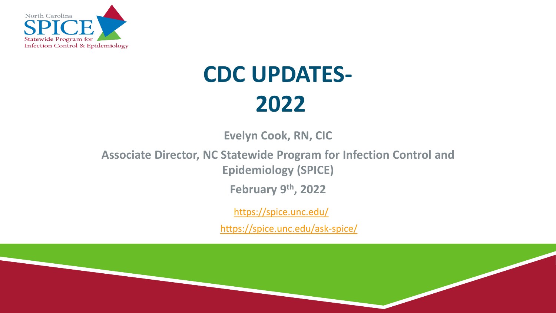

# **CDC UPDATES-2022**

**Evelyn Cook, RN, CIC**

**Associate Director, NC Statewide Program for Infection Control and** 

**Epidemiology (SPICE)**

**February 9th, 2022**

<https://spice.unc.edu/>

<https://spice.unc.edu/ask-spice/>

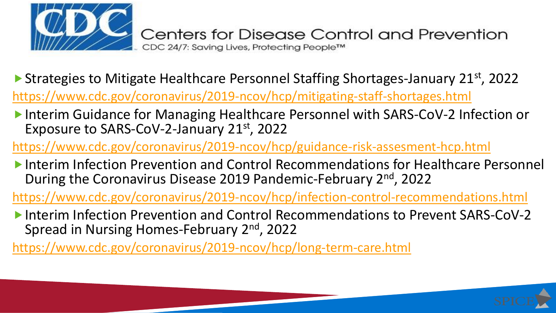

▶ Strategies to Mitigate Healthcare Personnel Staffing Shortages-January 21<sup>st</sup>, 2022

<https://www.cdc.gov/coronavirus/2019-ncov/hcp/mitigating-staff-shortages.html>

Interim Guidance for Managing Healthcare Personnel with SARS-CoV-2 Infection or Exposure to SARS-CoV-2-January 21st, 2022

<https://www.cdc.gov/coronavirus/2019-ncov/hcp/guidance-risk-assesment-hcp.html>

Interim Infection Prevention and Control Recommendations for Healthcare Personnel During the Coronavirus Disease 2019 Pandemic-February 2<sup>nd</sup>, 2022

<https://www.cdc.gov/coronavirus/2019-ncov/hcp/infection-control-recommendations.html>

Interim Infection Prevention and Control Recommendations to Prevent SARS-CoV-2 Spread in Nursing Homes-February 2<sup>nd</sup>, 2022

<https://www.cdc.gov/coronavirus/2019-ncov/hcp/long-term-care.html>

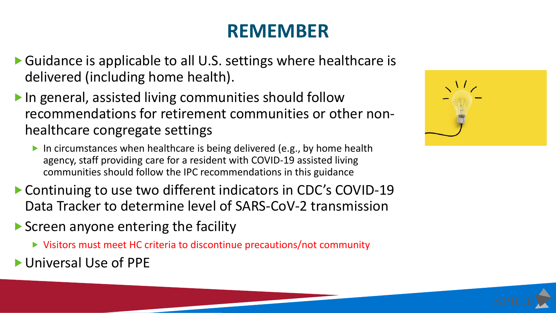### **REMEMBER**

- Guidance is applicable to all U.S. settings where healthcare is delivered (including home health).
- ▶ In general, assisted living communities should follow recommendations for retirement communities or other nonhealthcare congregate settings
	- In circumstances when healthcare is being delivered (e.g., by home health agency, staff providing care for a resident with COVID-19 assisted living communities should follow the IPC recommendations in this guidance
- ▶ Continuing to use two different indicators in CDC's COVID-19 Data Tracker to determine level of SARS-CoV-2 transmission
- ▶ Screen anyone entering the facility
	- Visitors must meet HC criteria to discontinue precautions/not community
- Universal Use of PPE

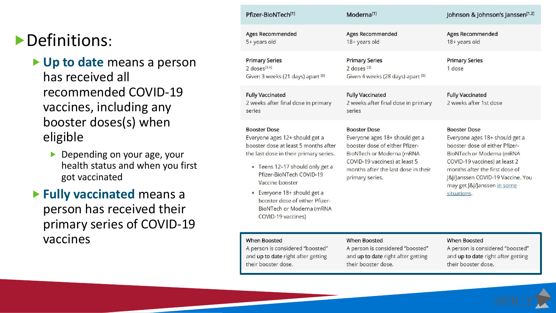#### Definitions:

 **Up to date** means a person has received all recommended COVID-19 vaccines, including any booster doses(s) when eligible

Depending on your age, your health status and when you first got vaccinated

 **Fully vaccinated** means a person has received their primary series of COVID-19 vaccines

| Pfizer-BioNTech <sup>[1]</sup>                                                                                                                                                                                                                                                                                                                   | Moderna <sup>[1]</sup>                                                                                                                                                                                          | Johnson & Johnson's Janssen <sup>[1,2]</sup>                                                                                                                                                                                                                               |
|--------------------------------------------------------------------------------------------------------------------------------------------------------------------------------------------------------------------------------------------------------------------------------------------------------------------------------------------------|-----------------------------------------------------------------------------------------------------------------------------------------------------------------------------------------------------------------|----------------------------------------------------------------------------------------------------------------------------------------------------------------------------------------------------------------------------------------------------------------------------|
| <b>Ages Recommended</b><br>5+ years old                                                                                                                                                                                                                                                                                                          | <b>Ages Recommended</b><br>18+ years old                                                                                                                                                                        | <b>Ages Recommended</b><br>18+ years old                                                                                                                                                                                                                                   |
| <b>Primary Series</b><br>$2$ doses <sup>[3,4]</sup><br>Given 3 weeks (21 days) apart [5]                                                                                                                                                                                                                                                         | <b>Primary Series</b><br>2 doses <sup>[3]</sup><br>Given 4 weeks (28 days) apart [5]                                                                                                                            | <b>Primary Series</b><br>1 dose                                                                                                                                                                                                                                            |
| <b>Fully Vaccinated</b><br>2 weeks after final dose in primary<br>series                                                                                                                                                                                                                                                                         | <b>Fully Vaccinated</b><br>2 weeks after final dose in primary<br>series                                                                                                                                        | <b>Fully Vaccinated</b><br>2 weeks after 1st dose                                                                                                                                                                                                                          |
| <b>Booster Dose</b><br>Everyone ages 12+ should get a<br>booster dose at least 5 months after<br>the last dose in their primary series.<br>• Teens 12-17 should only get a<br>Pfizer-BioNTech COVID-19<br>Vaccine booster<br>Everyone 18+ should get a<br>۰<br>booster dose of either Pfizer-<br>BioNTech or Moderna (mRNA<br>COVID-19 vaccines) | <b>Booster Dose</b><br>Everyone ages 18+ should get a<br>booster dose of either Pfizer-<br>BioNTech or Moderna (mRNA<br>COVID-19 vaccines) at least 5<br>months after the last dose in their<br>primary series. | <b>Booster Dose</b><br>Everyone ages 18+ should get a<br>booster dose of either Pfizer-<br>BioNTech or Moderna (mRNA<br>COVID-19 vaccines) at least 2<br>months after the first dose of<br>J&J/Janssen COVID-19 Vaccine. You<br>may get J&J/Janssen in some<br>situations. |
| <b>When Boosted</b><br>A person is considered "boosted"<br>and up to date right after getting<br>their booster dose.                                                                                                                                                                                                                             | <b>When Boosted</b><br>A person is considered "boosted"<br>and up to date right after getting<br>their booster dose.                                                                                            | <b>When Boosted</b><br>A person is considered "boosted"<br>and up to date right after getting<br>their booster dose.                                                                                                                                                       |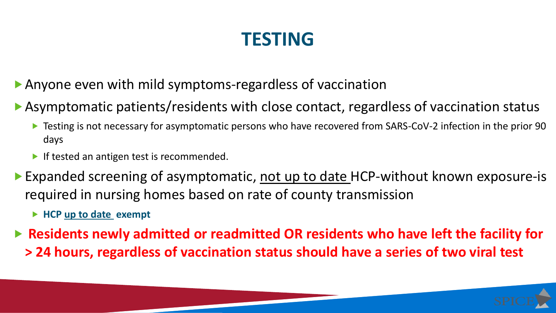### **TESTING**

- Anyone even with mild symptoms-regardless of vaccination
- Asymptomatic patients/residents with close contact, regardless of vaccination status
	- ▶ Testing is not necessary for asymptomatic persons who have recovered from SARS-CoV-2 infection in the prior 90 days
	- If tested an antigen test is recommended.
- ▶ Expanded screening of asymptomatic, not up to date HCP-without known exposure-is required in nursing homes based on rate of county transmission
	- ▶ HCP up to date exempt
- ▶ Residents newly admitted or readmitted OR residents who have left the facility for **> 24 hours, regardless of vaccination status should have a series of two viral test**

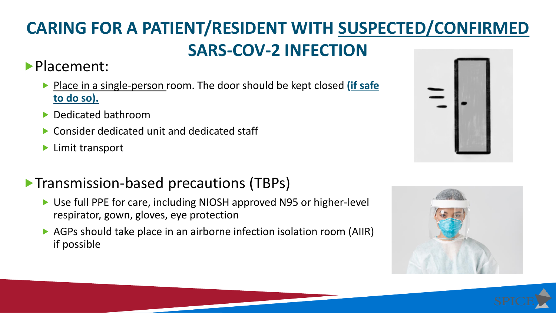### **CARING FOR A PATIENT/RESIDENT WITH SUSPECTED/CONFIRMED SARS-COV-2 INFECTION**

**Placement:** 

- ▶ Place in a single-person room. The door should be kept closed (if safe **to do so).**
- ▶ Dedicated bathroom
- ▶ Consider dedicated unit and dedicated staff
- **Limit transport**

#### **Transmission-based precautions (TBPs)**

- ▶ Use full PPE for care, including NIOSH approved N95 or higher-level respirator, gown, gloves, eye protection
- ▶ AGPs should take place in an airborne infection isolation room (AIIR) if possible





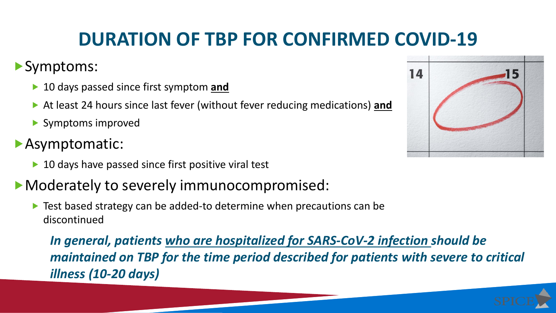### **DURATION OF TBP FOR CONFIRMED COVID-19**

#### Symptoms:

- ▶ 10 days passed since first symptom **and**
- At least 24 hours since last fever (without fever reducing medications) **and**
- Symptoms improved
- Asymptomatic:
	- ▶ 10 days have passed since first positive viral test

#### Moderately to severely immunocompromised:

▶ Test based strategy can be added-to determine when precautions can be discontinued

*In general, patients who are hospitalized for SARS-CoV-2 infection should be maintained on TBP for the time period described for patients with severe to critical illness (10-20 days)*

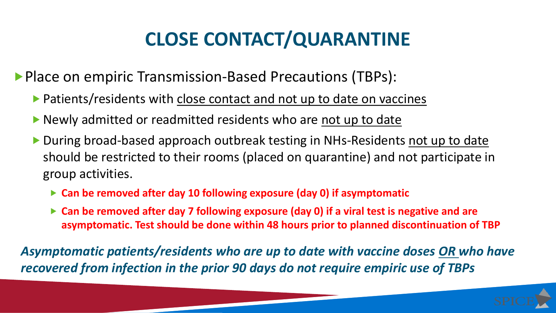## **CLOSE CONTACT/QUARANTINE**

**Place on empiric Transmission-Based Precautions (TBPs):** 

- **Patients/residents with close contact and not up to date on vaccines**
- Newly admitted or readmitted residents who are not up to date
- During broad-based approach outbreak testing in NHs-Residents not up to date should be restricted to their rooms (placed on quarantine) and not participate in group activities.
	- **Can be removed after day 10 following exposure (day 0) if asymptomatic**
	- **Can be removed after day 7 following exposure (day 0) if a viral test is negative and are asymptomatic. Test should be done within 48 hours prior to planned discontinuation of TBP**

*Asymptomatic patients/residents who are up to date with vaccine doses OR who have recovered from infection in the prior 90 days do not require empiric use of TBPs*

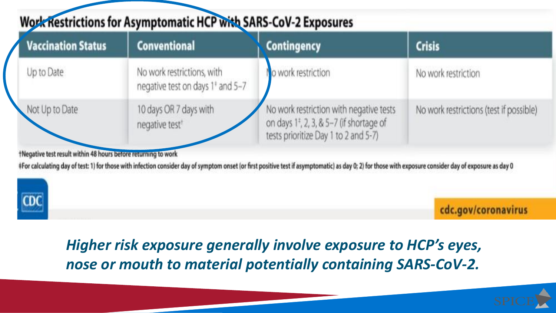### **Work Restrictions for Asymptomatic HCP with SARS-CoV-2 Exposures**

| <b>Vaccination Status</b> | <b>Conventional</b>                                                        | <b>Contingency</b>                                                                                                                      | <b>Crisis</b>                           |
|---------------------------|----------------------------------------------------------------------------|-----------------------------------------------------------------------------------------------------------------------------------------|-----------------------------------------|
| Up to Date                | No work restrictions, with<br>negative test on days 1 <sup>+</sup> and 5-7 | o work restriction                                                                                                                      | No work restriction                     |
| Not Up to Date            | 10 days OR 7 days with<br>negative test <sup>®</sup>                       | No work restriction with negative tests<br>on days 1 <sup>±</sup> , 2, 3, & 5-7 (if shortage of<br>tests prioritize Day 1 to 2 and 5-7) | No work restrictions (test if possible) |

tNegative test result within 48 hours before returning to work

#For calculating day of test: 1) for those with infection consider day of symptom onset (or first positive test if asymptomatic) as day 0; 2) for those with exposure consider day of exposure as day 0



cdc.gov/coronavirus

Higher risk exposure generally involve exposure to HCP's eyes, nose or mouth to material potentially containing SARS-CoV-2.

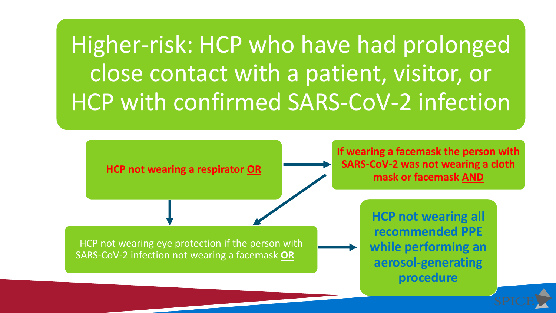Higher-risk: HCP who have had prolonged close contact with a patient, visitor, or HCP with confirmed SARS-CoV-2 infection



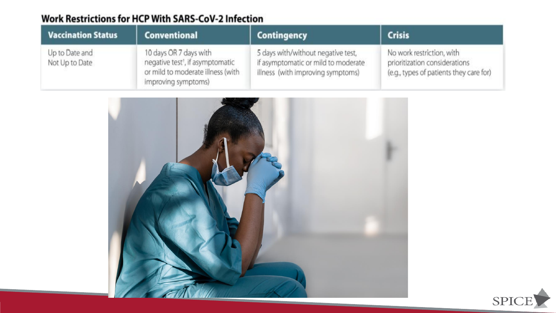#### **Work Restrictions for HCP With SARS-CoV-2 Infection**

| <b>Vaccination Status</b>        | <b>Conventional</b>                                                                                                                | <b>Contingency</b>                                                                                             | <b>Crisis</b>                                                                                         |
|----------------------------------|------------------------------------------------------------------------------------------------------------------------------------|----------------------------------------------------------------------------------------------------------------|-------------------------------------------------------------------------------------------------------|
| Up to Date and<br>Not Up to Date | 10 days OR 7 days with<br>negative test <sup>1</sup> , if asymptomatic<br>or mild to moderate illness (with<br>improving symptoms) | 5 days with/without negative test,<br>if asymptomatic or mild to moderate<br>illness (with improving symptoms) | No work restriction, with<br>prioritization considerations<br>(e.g., types of patients they care for) |



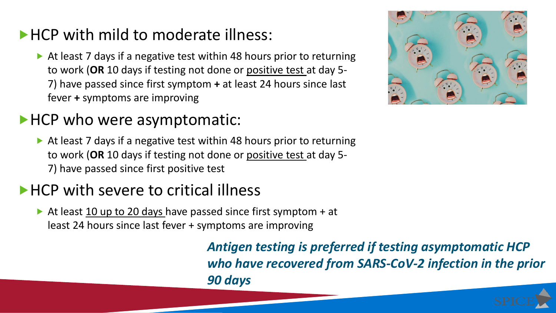#### HCP with mild to moderate illness:

▶ At least 7 days if a negative test within 48 hours prior to returning to work (**OR** 10 days if testing not done or positive test at day 5- 7) have passed since first symptom **+** at least 24 hours since last fever **+** symptoms are improving

#### HCP who were asymptomatic:

At least 7 days if a negative test within 48 hours prior to returning to work (**OR** 10 days if testing not done or positive test at day 5- 7) have passed since first positive test

### ▶ HCP with severe to critical illness

At least  $10$  up to 20 days have passed since first symptom + at least 24 hours since last fever + symptoms are improving

> *Antigen testing is preferred if testing asymptomatic HCP who have recovered from SARS-CoV-2 infection in the prior 90 days*